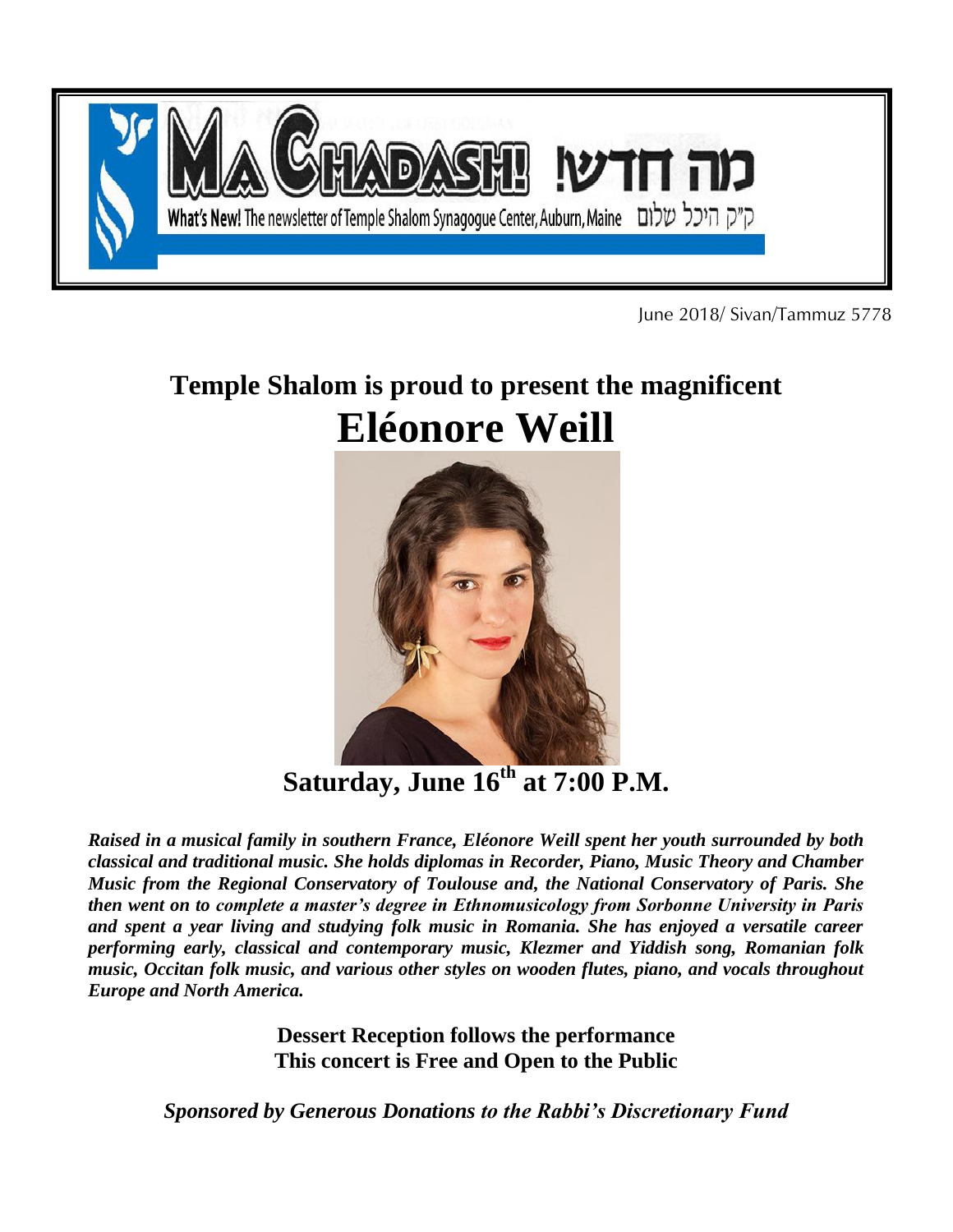

June 2018/ Sivan/Tammuz 5778

# **Temple Shalom is proud to present the magnificent Eléonore Weill**



**Saturday, June 16 th at 7:00 P.M.**

*Raised in a musical family in southern France, Eléonore Weill spent her youth surrounded by both classical and traditional music. She holds diplomas in Recorder, Piano, Music Theory and Chamber Music from the Regional Conservatory of Toulouse and, the National Conservatory of Paris. She then went on to complete a master's degree in Ethnomusicology from Sorbonne University in Paris and spent a year living and studying folk music in Romania. She has enjoyed a versatile career performing early, classical and contemporary music, Klezmer and Yiddish song, Romanian folk music, Occitan folk music, and various other styles on wooden flutes, piano, and vocals throughout Europe and North America.*

> **Dessert Reception follows the performance This concert is Free and Open to the Public**

*Sponsored by Generous Donations to the Rabbi's Discretionary Fund*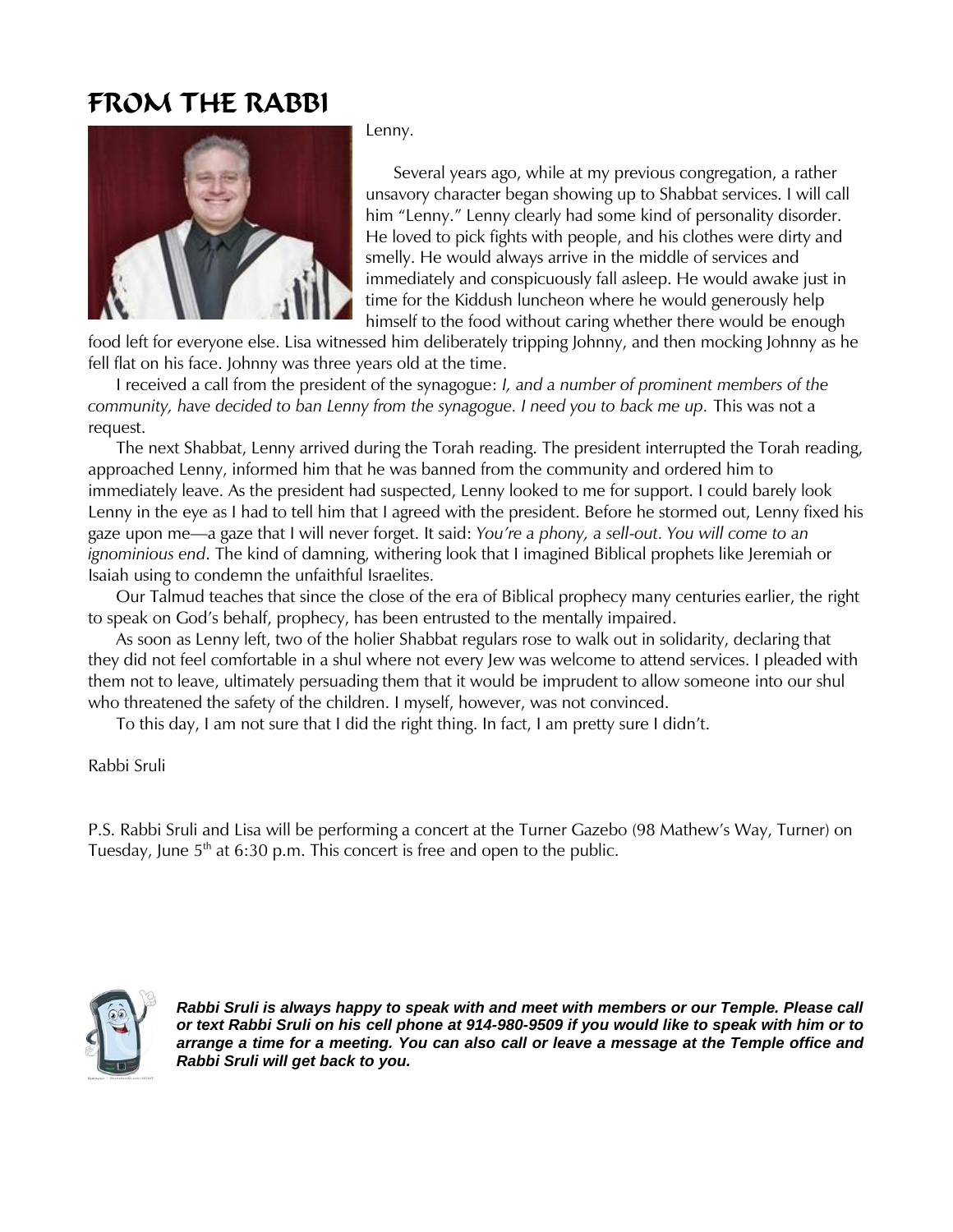## FROM THE RABBI



Lenny.

 Several years ago, while at my previous congregation, a rather unsavory character began showing up to Shabbat services. I will call him "Lenny." Lenny clearly had some kind of personality disorder. He loved to pick fights with people, and his clothes were dirty and smelly. He would always arrive in the middle of services and immediately and conspicuously fall asleep. He would awake just in time for the Kiddush luncheon where he would generously help himself to the food without caring whether there would be enough

food left for everyone else. Lisa witnessed him deliberately tripping Johnny, and then mocking Johnny as he fell flat on his face. Johnny was three years old at the time.

 I received a call from the president of the synagogue: *I, and a number of prominent members of the community, have decided to ban Lenny from the synagogue. I need you to back me up.* This was not a request.

 The next Shabbat, Lenny arrived during the Torah reading. The president interrupted the Torah reading, approached Lenny, informed him that he was banned from the community and ordered him to immediately leave. As the president had suspected, Lenny looked to me for support. I could barely look Lenny in the eye as I had to tell him that I agreed with the president. Before he stormed out, Lenny fixed his gaze upon me—a gaze that I will never forget. It said: *You're a phony, a sell-out. You will come to an ignominious end*. The kind of damning, withering look that I imagined Biblical prophets like Jeremiah or Isaiah using to condemn the unfaithful Israelites.

 Our Talmud teaches that since the close of the era of Biblical prophecy many centuries earlier, the right to speak on God's behalf, prophecy, has been entrusted to the mentally impaired.

 As soon as Lenny left, two of the holier Shabbat regulars rose to walk out in solidarity, declaring that they did not feel comfortable in a shul where not every Jew was welcome to attend services. I pleaded with them not to leave, ultimately persuading them that it would be imprudent to allow someone into our shul who threatened the safety of the children. I myself, however, was not convinced.

To this day, I am not sure that I did the right thing. In fact, I am pretty sure I didn't.

Rabbi Sruli

P.S. Rabbi Sruli and Lisa will be performing a concert at the Turner Gazebo (98 Mathew's Way, Turner) on Tuesday, June  $5<sup>th</sup>$  at 6:30 p.m. This concert is free and open to the public.



*Rabbi Sruli is always happy to speak with and meet with members or our Temple. Please call or text Rabbi Sruli on his cell phone at 914-980-9509 if you would like to speak with him or to arrange a time for a meeting. You can also call or leave a message at the Temple office and Rabbi Sruli will get back to you.*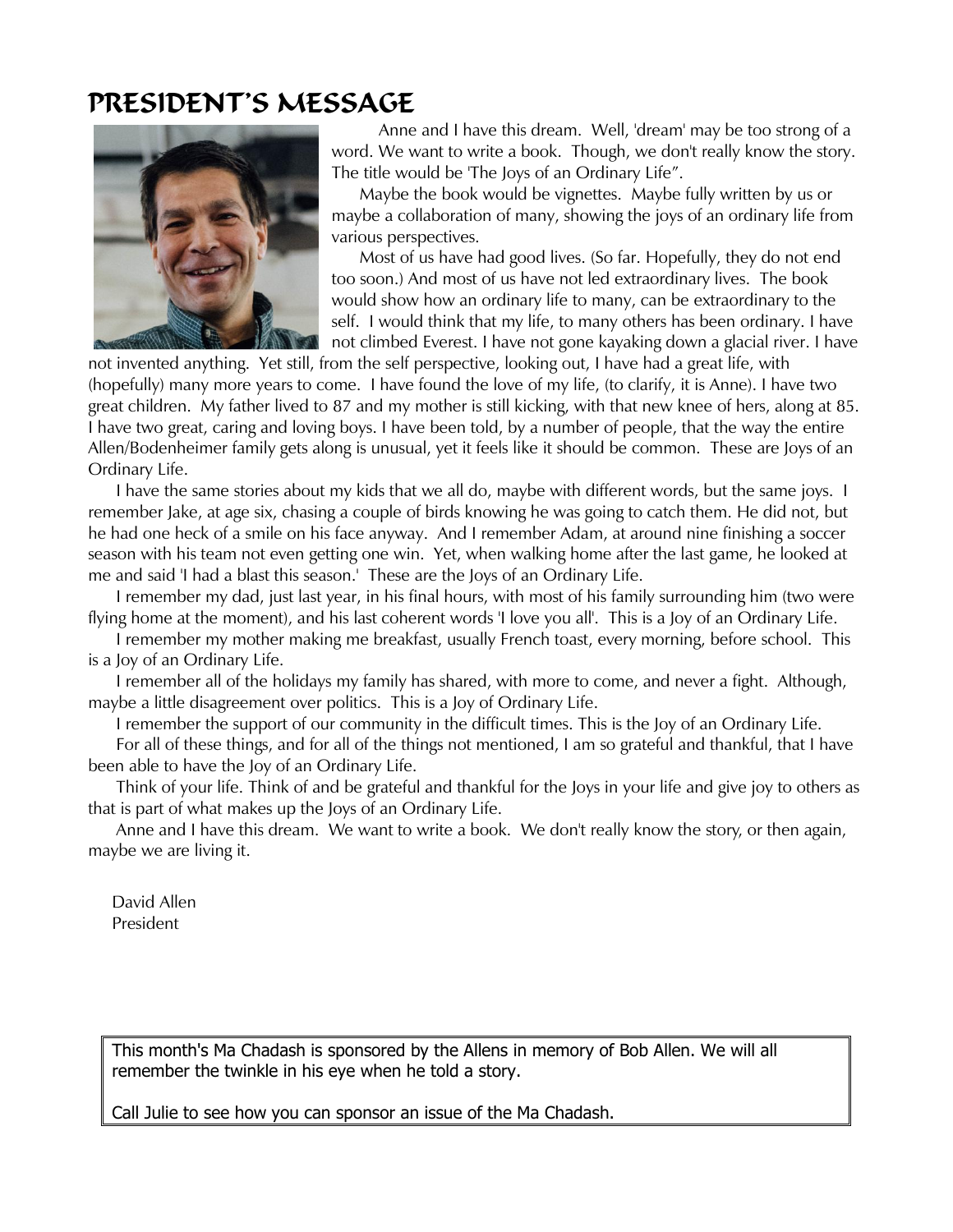## PRESIDENT'S MESSAGE



 Anne and I have this dream. Well, 'dream' may be too strong of a word. We want to write a book. Though, we don't really know the story. The title would be 'The Joys of an Ordinary Life".

 Maybe the book would be vignettes. Maybe fully written by us or maybe a collaboration of many, showing the joys of an ordinary life from various perspectives.

 Most of us have had good lives. (So far. Hopefully, they do not end too soon.) And most of us have not led extraordinary lives. The book would show how an ordinary life to many, can be extraordinary to the self. I would think that my life, to many others has been ordinary. I have not climbed Everest. I have not gone kayaking down a glacial river. I have

not invented anything. Yet still, from the self perspective, looking out, I have had a great life, with (hopefully) many more years to come. I have found the love of my life, (to clarify, it is Anne). I have two great children. My father lived to 87 and my mother is still kicking, with that new knee of hers, along at 85. I have two great, caring and loving boys. I have been told, by a number of people, that the way the entire Allen/Bodenheimer family gets along is unusual, yet it feels like it should be common. These are Joys of an Ordinary Life.

 I have the same stories about my kids that we all do, maybe with different words, but the same joys. I remember Jake, at age six, chasing a couple of birds knowing he was going to catch them. He did not, but he had one heck of a smile on his face anyway. And I remember Adam, at around nine finishing a soccer season with his team not even getting one win. Yet, when walking home after the last game, he looked at me and said 'I had a blast this season.' These are the Joys of an Ordinary Life.

 I remember my dad, just last year, in his final hours, with most of his family surrounding him (two were flying home at the moment), and his last coherent words 'I love you all'. This is a Joy of an Ordinary Life.

 I remember my mother making me breakfast, usually French toast, every morning, before school. This is a Joy of an Ordinary Life.

 I remember all of the holidays my family has shared, with more to come, and never a fight. Although, maybe a little disagreement over politics. This is a Joy of Ordinary Life.

I remember the support of our community in the difficult times. This is the Joy of an Ordinary Life.

 For all of these things, and for all of the things not mentioned, I am so grateful and thankful, that I have been able to have the Joy of an Ordinary Life.

 Think of your life. Think of and be grateful and thankful for the Joys in your life and give joy to others as that is part of what makes up the Joys of an Ordinary Life.

 Anne and I have this dream. We want to write a book. We don't really know the story, or then again, maybe we are living it.

David Allen President

This month's Ma Chadash is sponsored by the Allens in memory of Bob Allen. We will all remember the twinkle in his eye when he told a story.

Call Julie to see how you can sponsor an issue of the Ma Chadash.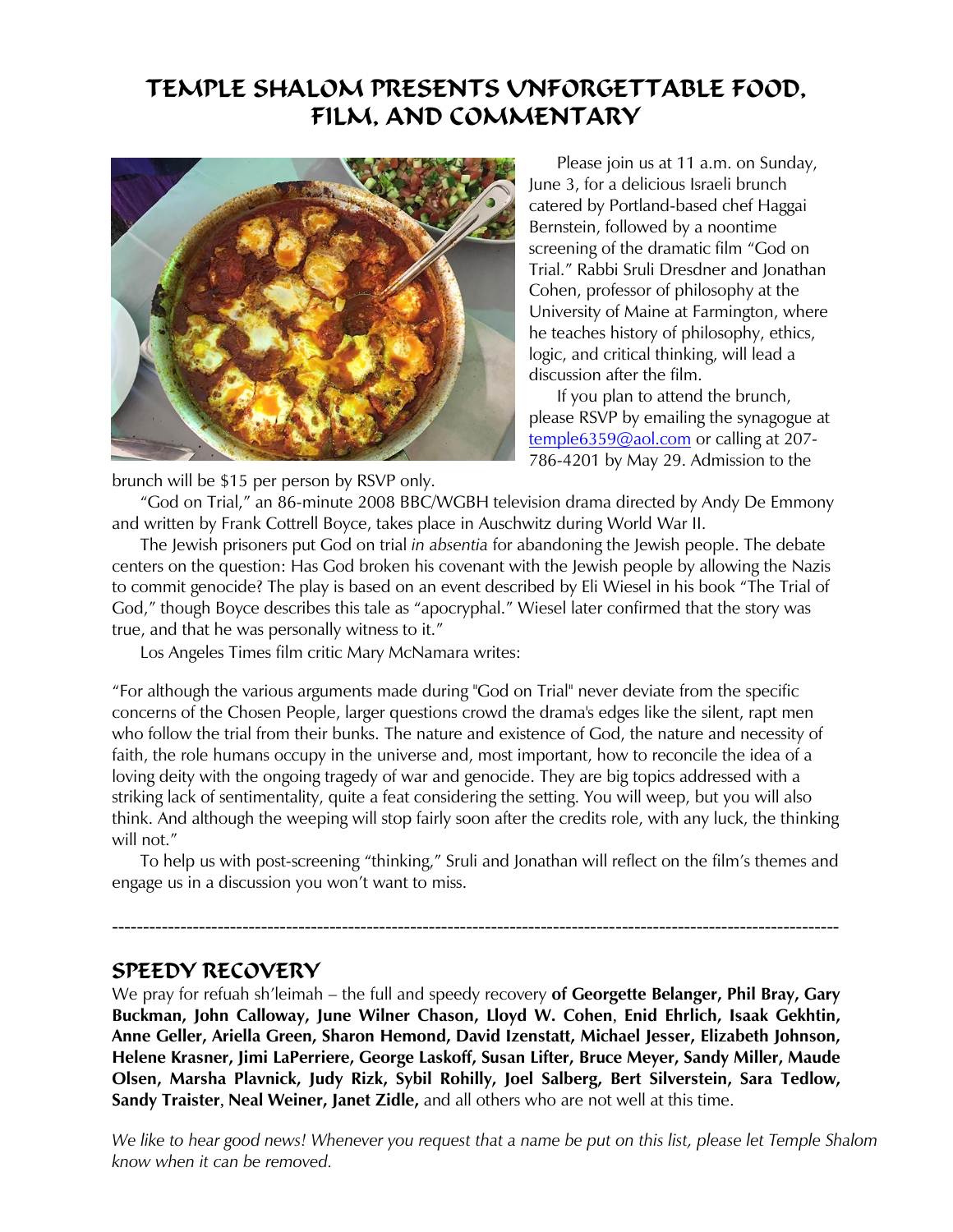### TEMPLE SHALOM PRESENTS UNFORGETTABLE FOOD, FILM, AND COMMENTARY



 Please join us at 11 a.m. on Sunday, June 3, for a delicious Israeli brunch catered by Portland-based chef Haggai Bernstein, followed by a noontime screening of the dramatic film "God on Trial." Rabbi Sruli Dresdner and Jonathan Cohen, professor of philosophy at the University of Maine at Farmington, where he teaches history of philosophy, ethics, logic, and critical thinking, will lead a discussion after the film.

 If you plan to attend the brunch, please RSVP by emailing the synagogue at [temple6359@aol.com](mailto:temple6359@aol.com) or calling at 207- 786-4201 by May 29. Admission to the

brunch will be \$15 per person by RSVP only.

 "God on Trial," an 86-minute 2008 BBC/WGBH television drama directed by Andy De Emmony and written by Frank Cottrell Boyce, takes place in Auschwitz during World War II.

 The Jewish prisoners put God on trial *in absentia* for abandoning the Jewish people. The debate centers on the question: Has God broken his covenant with the Jewish people by allowing the Nazis to commit genocide? The play is based on an event described by Eli Wiesel in his book "The Trial of God," though Boyce describes this tale as "apocryphal." Wiesel later confirmed that the story was true, and that he was personally witness to it."

Los Angeles Times film critic Mary McNamara writes:

"For although the various arguments made during "God on Trial" never deviate from the specific concerns of the Chosen People, larger questions crowd the drama's edges like the silent, rapt men who follow the trial from their bunks. The nature and existence of God, the nature and necessity of faith, the role humans occupy in the universe and, most important, how to reconcile the idea of a loving deity with the ongoing tragedy of war and genocide. They are big topics addressed with a striking lack of sentimentality, quite a feat considering the setting. You will weep, but you will also think. And although the weeping will stop fairly soon after the credits role, with any luck, the thinking will not."

 To help us with post-screening "thinking," Sruli and Jonathan will reflect on the film's themes and engage us in a discussion you won't want to miss.

---------------------------------------------------------------------------------------------------------------------

#### SPEEDY RECOVERY

We pray for refuah sh'leimah – the full and speedy recovery **of Georgette Belanger, Phil Bray, Gary Buckman, John Calloway, June Wilner Chason, Lloyd W. Cohen**, **Enid Ehrlich, Isaak Gekhtin, Anne Geller, Ariella Green, Sharon Hemond, David Izenstatt, Michael Jesser, Elizabeth Johnson, Helene Krasner, Jimi LaPerriere, George Laskoff, Susan Lifter, Bruce Meyer, Sandy Miller, Maude Olsen, Marsha Plavnick, Judy Rizk, Sybil Rohilly, Joel Salberg, Bert Silverstein, Sara Tedlow, Sandy Traister**, **Neal Weiner, Janet Zidle,** and all others who are not well at this time.

*We like to hear good news! Whenever you request that a name be put on this list, please let Temple Shalom know when it can be removed.*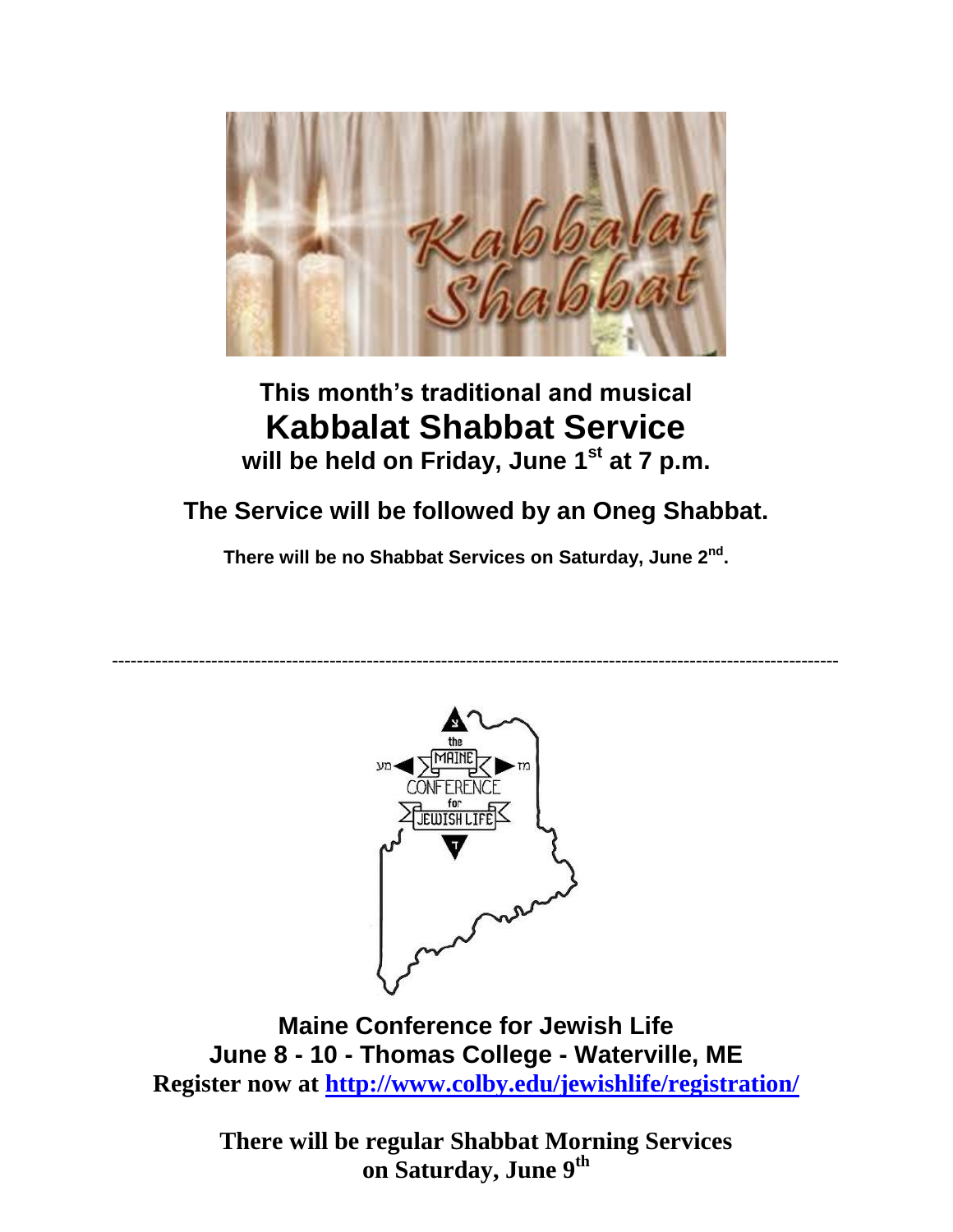

## **This month's traditional and musical Kabbalat Shabbat Service will be held on Friday, June 1st at 7 p.m.**

## **The Service will be followed by an Oneg Shabbat.**

**There will be no Shabbat Services on Saturday, June 2nd .**

---------------------------------------------------------------------------------------------------------------------



**Maine Conference for Jewish Life June 8 - 10 - Thomas College - Waterville, ME Register now at<http://www.colby.edu/jewishlife/registration/>**

**There will be regular Shabbat Morning Services on Saturday, June 9th**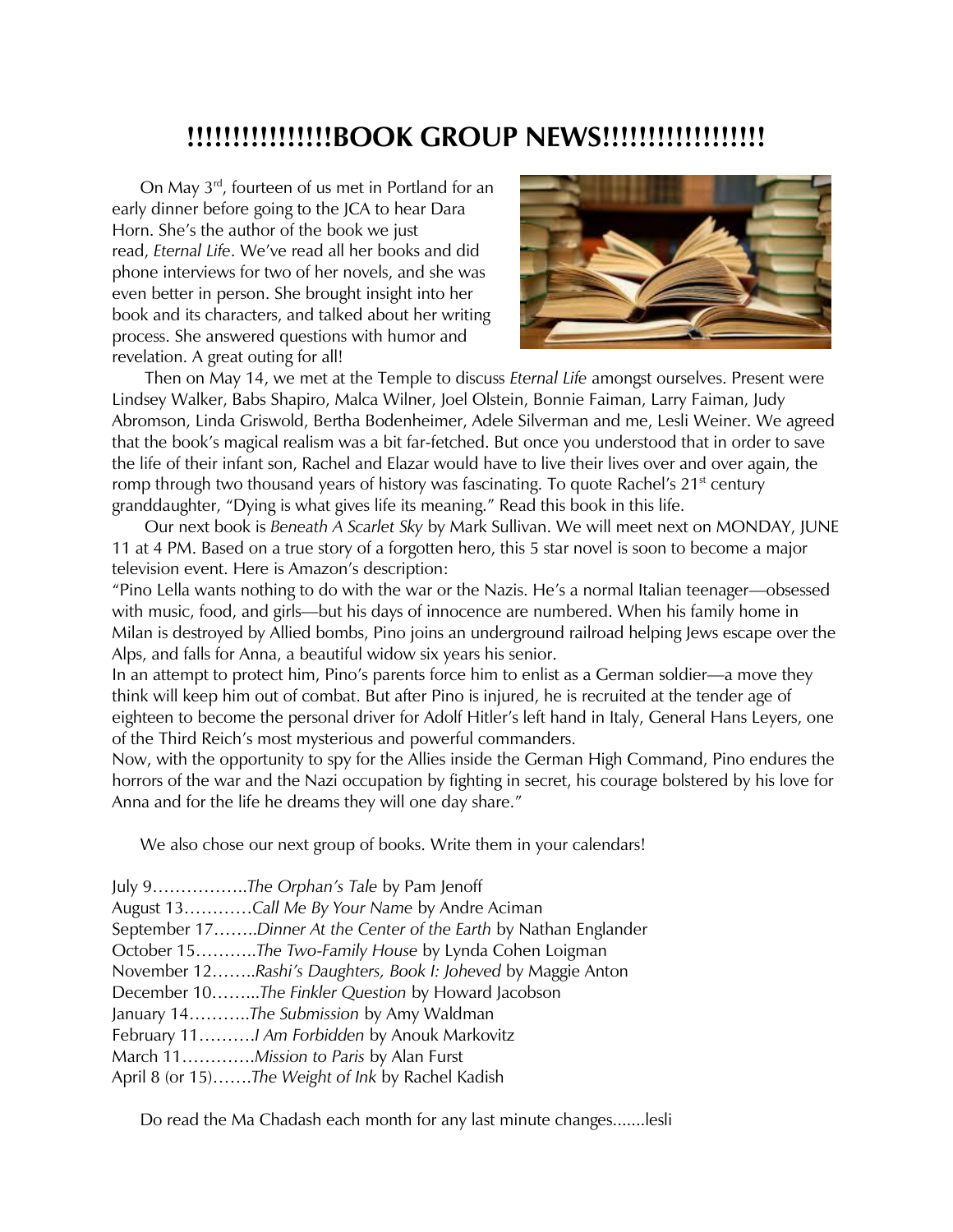### **!!!!!!!!!!!!!!!!BOOK GROUP NEWS!!!!!!!!!!!!!!!!!!**

 On May 3rd, fourteen of us met in Portland for an early dinner before going to the JCA to hear Dara Horn. She's the author of the book we just read, *Eternal Life*. We've read all her books and did phone interviews for two of her novels, and she was even better in person. She brought insight into her book and its characters, and talked about her writing process. She answered questions with humor and revelation. A great outing for all!



 Then on May 14, we met at the Temple to discuss *Eternal Life* amongst ourselves. Present were Lindsey Walker, Babs Shapiro, Malca Wilner, Joel Olstein, Bonnie Faiman, Larry Faiman, Judy Abromson, Linda Griswold, Bertha Bodenheimer, Adele Silverman and me, Lesli Weiner. We agreed that the book's magical realism was a bit far-fetched. But once you understood that in order to save the life of their infant son, Rachel and Elazar would have to live their lives over and over again, the romp through two thousand years of history was fascinating. To quote Rachel's 21<sup>st</sup> century granddaughter, "Dying is what gives life its meaning." Read this book in this life.

 Our next book is *Beneath A Scarlet Sky* by Mark Sullivan. We will meet next on MONDAY, JUNE 11 at 4 PM. Based on a true story of a forgotten hero, this 5 star novel is soon to become a major television event. Here is Amazon's description:

"Pino Lella wants nothing to do with the war or the Nazis. He's a normal Italian teenager—obsessed with music, food, and girls—but his days of innocence are numbered. When his family home in Milan is destroyed by Allied bombs, Pino joins an underground railroad helping Jews escape over the Alps, and falls for Anna, a beautiful widow six years his senior.

In an attempt to protect him, Pino's parents force him to enlist as a German soldier—a move they think will keep him out of combat. But after Pino is injured, he is recruited at the tender age of eighteen to become the personal driver for Adolf Hitler's left hand in Italy, General Hans Leyers, one of the Third Reich's most mysterious and powerful commanders.

Now, with the opportunity to spy for the Allies inside the German High Command, Pino endures the horrors of the war and the Nazi occupation by fighting in secret, his courage bolstered by his love for Anna and for the life he dreams they will one day share."

We also chose our next group of books. Write them in your calendars!

| July 9The Orphan's Tale by Pam Jenoff                             |
|-------------------------------------------------------------------|
| August 13Call Me By Your Name by Andre Aciman                     |
| September 17Dinner At the Center of the Earth by Nathan Englander |
| October 15The Two-Family House by Lynda Cohen Loigman             |
| November 12Rashi's Daughters, Book I: Joheved by Maggie Anton     |
| December 10The Finkler Question by Howard Jacobson                |
| January 14The Submission by Amy Waldman                           |
| February 11 Am Forbidden by Anouk Markovitz                       |
| March 11Mission to Paris by Alan Furst                            |
| April 8 (or 15)The Weight of Ink by Rachel Kadish                 |

Do read the Ma Chadash each month for any last minute changes.......lesli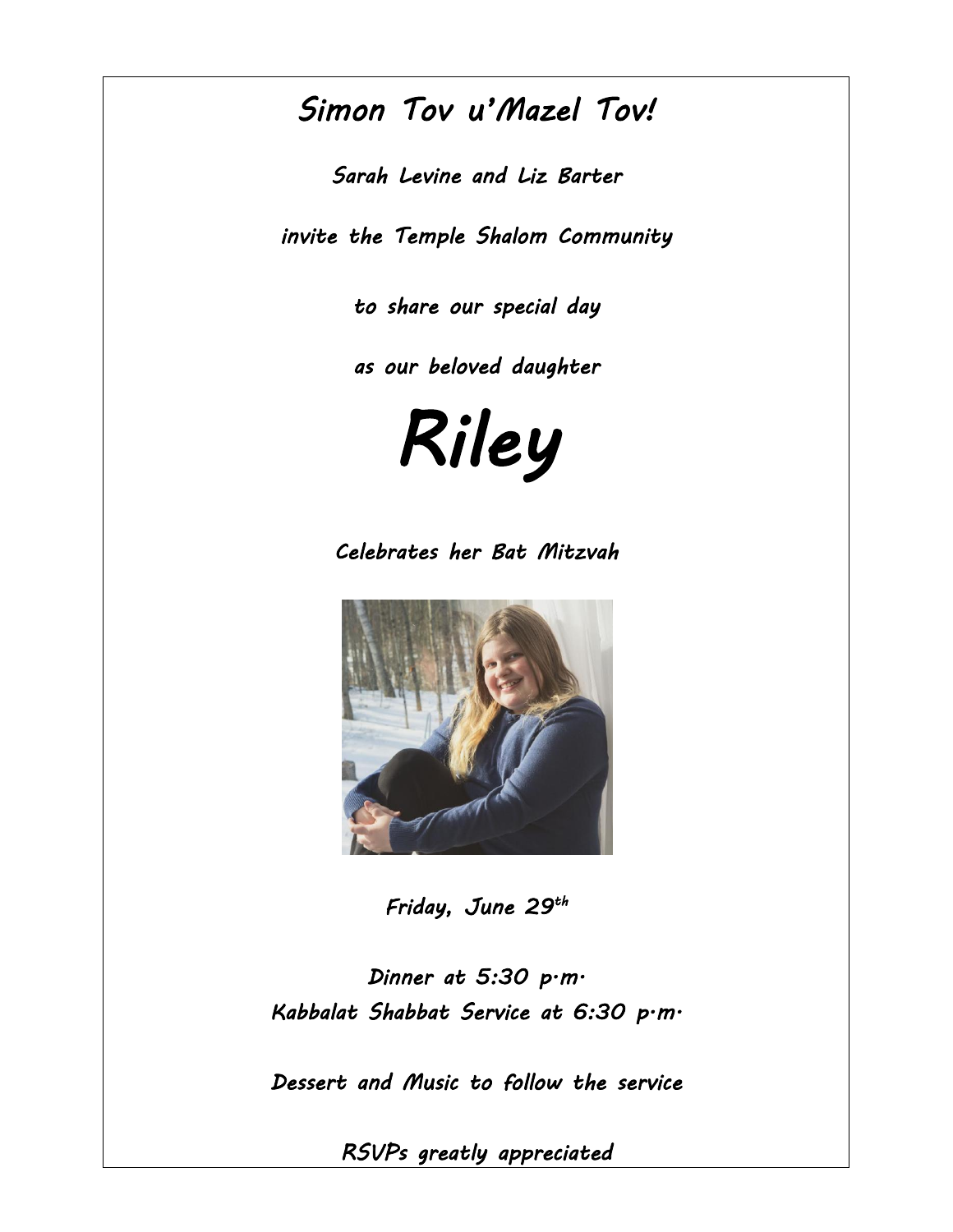# *Simon Tov u'Mazel Tov!*

*Sarah Levine and Liz Barter* 

*invite the Temple Shalom Community* 

*to share our special day* 

*as our beloved daughter* 

*Riley* 

*Celebrates her Bat Mitzvah* 



*Friday, June 29 th* 

*Dinner at 5:30 p.m. Kabbalat Shabbat Service at 6:30 p.m.* 

*Dessert and Music to follow the service* 

*RSVPs greatly appreciated*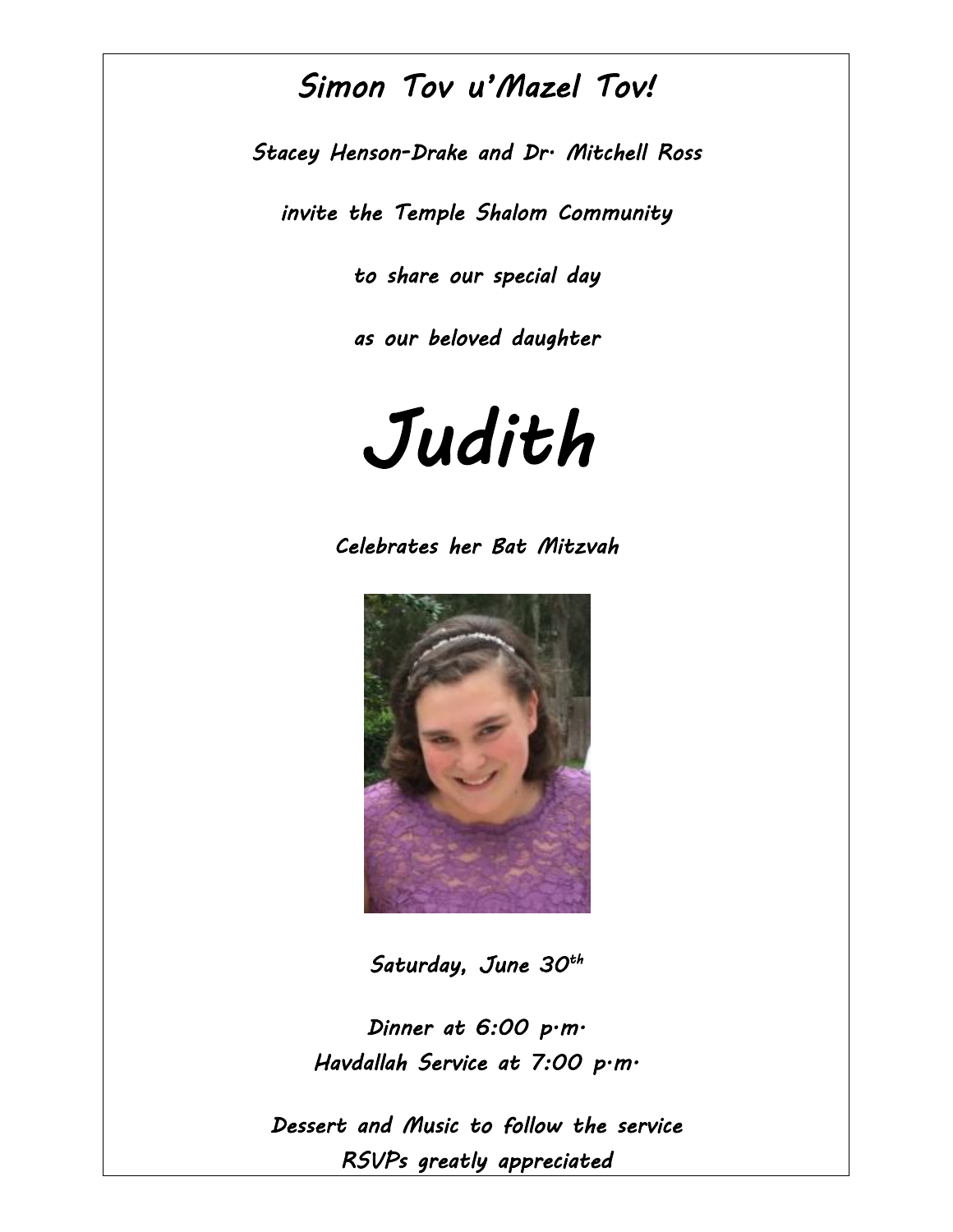## *Simon Tov u'Mazel Tov!*

*Stacey Henson-Drake and Dr. Mitchell Ross* 

*invite the Temple Shalom Community* 

*to share our special day* 

*as our beloved daughter* 



*Celebrates her Bat Mitzvah* 



*Saturday, June 30th* 

*Dinner at 6:00 p.m. Havdallah Service at 7:00 p.m.* 

*Dessert and Music to follow the service RSVPs greatly appreciated*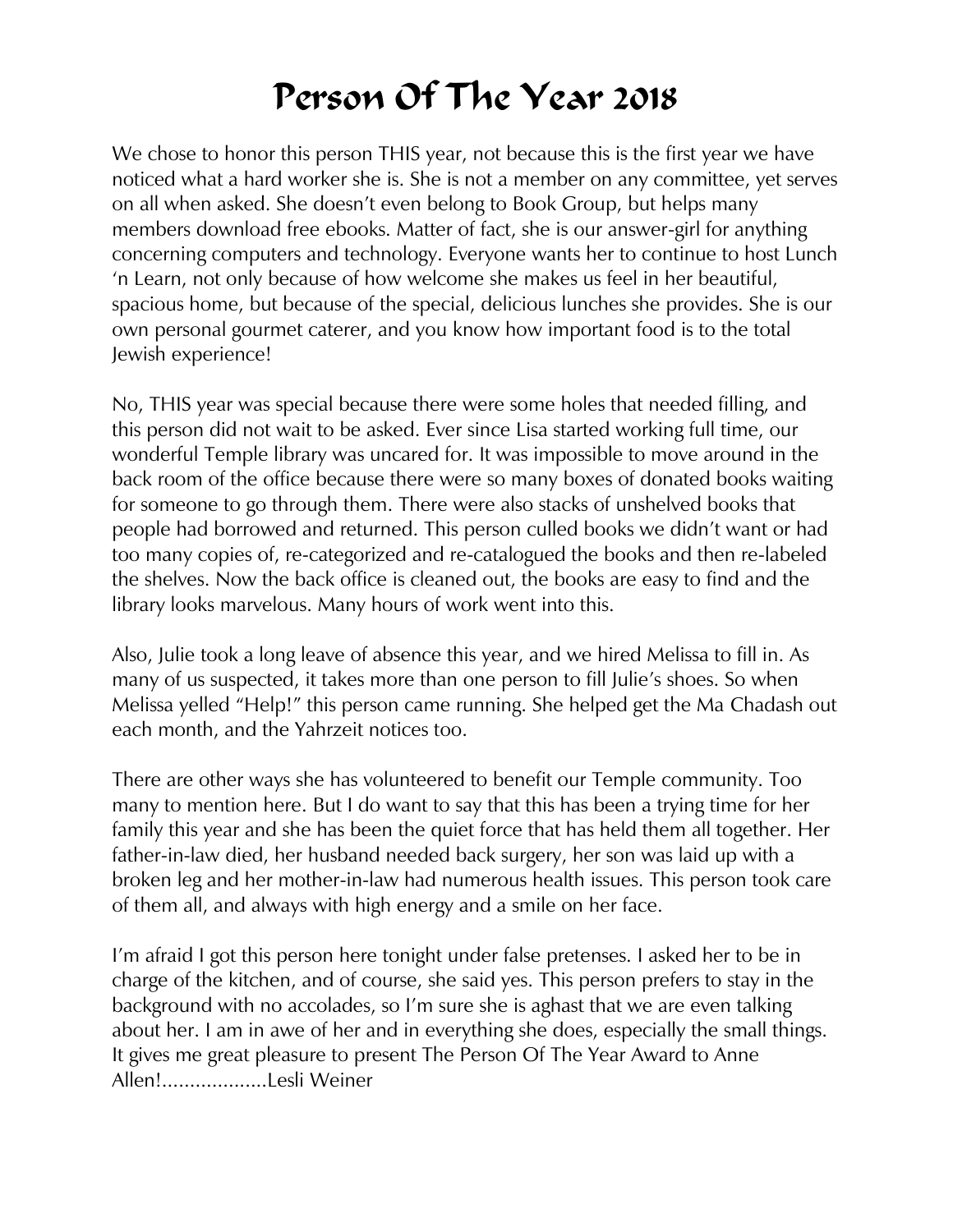# Person Of The Year 2018

We chose to honor this person THIS year, not because this is the first year we have noticed what a hard worker she is. She is not a member on any committee, yet serves on all when asked. She doesn't even belong to Book Group, but helps many members download free ebooks. Matter of fact, she is our answer-girl for anything concerning computers and technology. Everyone wants her to continue to host Lunch 'n Learn, not only because of how welcome she makes us feel in her beautiful, spacious home, but because of the special, delicious lunches she provides. She is our own personal gourmet caterer, and you know how important food is to the total Jewish experience!

No, THIS year was special because there were some holes that needed filling, and this person did not wait to be asked. Ever since Lisa started working full time, our wonderful Temple library was uncared for. It was impossible to move around in the back room of the office because there were so many boxes of donated books waiting for someone to go through them. There were also stacks of unshelved books that people had borrowed and returned. This person culled books we didn't want or had too many copies of, re-categorized and re-catalogued the books and then re-labeled the shelves. Now the back office is cleaned out, the books are easy to find and the library looks marvelous. Many hours of work went into this.

Also, Julie took a long leave of absence this year, and we hired Melissa to fill in. As many of us suspected, it takes more than one person to fill Julie's shoes. So when Melissa yelled "Help!" this person came running. She helped get the Ma Chadash out each month, and the Yahrzeit notices too.

There are other ways she has volunteered to benefit our Temple community. Too many to mention here. But I do want to say that this has been a trying time for her family this year and she has been the quiet force that has held them all together. Her father-in-law died, her husband needed back surgery, her son was laid up with a broken leg and her mother-in-law had numerous health issues. This person took care of them all, and always with high energy and a smile on her face.

I'm afraid I got this person here tonight under false pretenses. I asked her to be in charge of the kitchen, and of course, she said yes. This person prefers to stay in the background with no accolades, so I'm sure she is aghast that we are even talking about her. I am in awe of her and in everything she does, especially the small things. It gives me great pleasure to present The Person Of The Year Award to Anne Allen!...................Lesli Weiner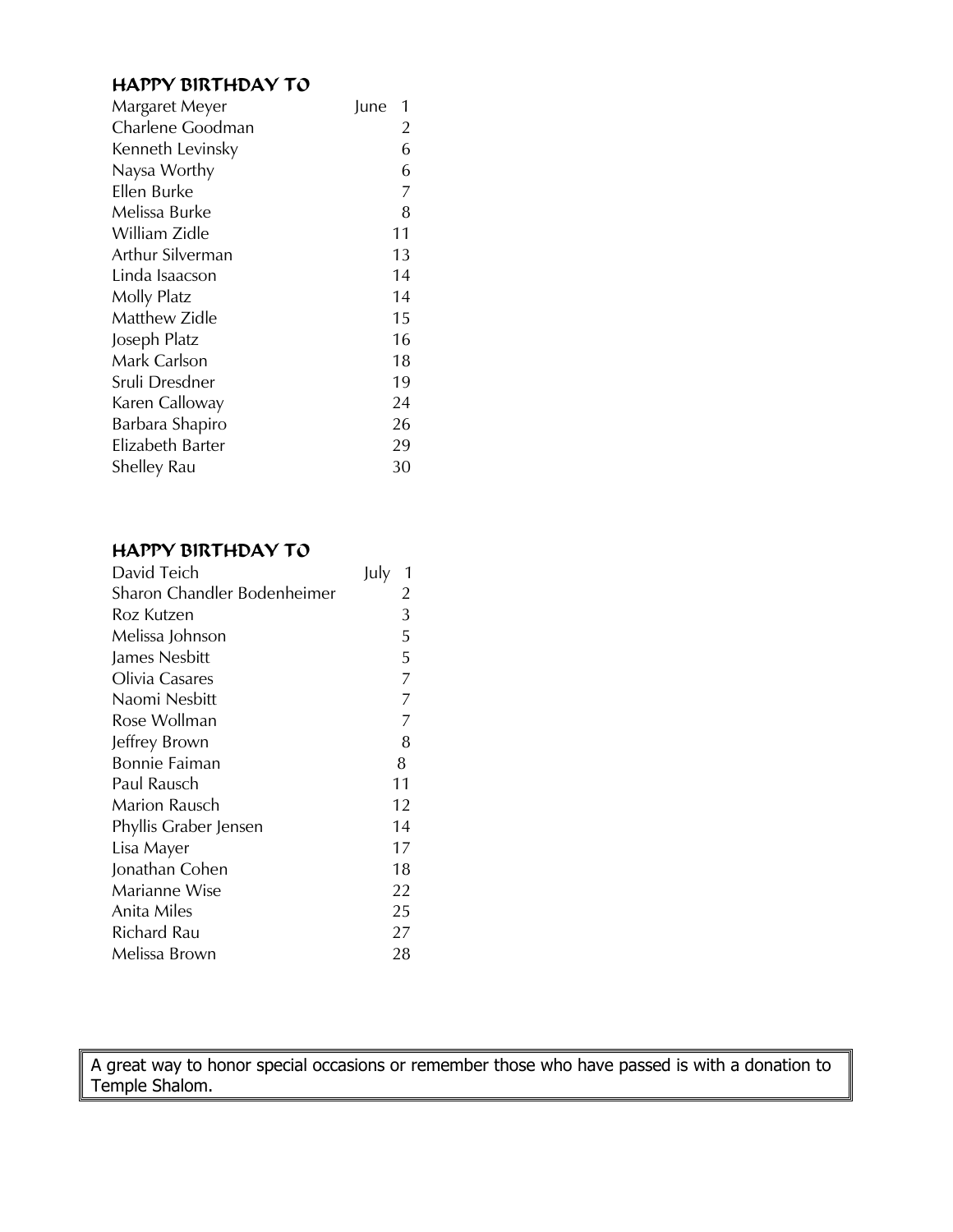#### HAPPY BIRTHDAY TO

| Margaret Meyer   | June<br>1      |
|------------------|----------------|
| Charlene Goodman | 2              |
| Kenneth Levinsky | 6              |
| Naysa Worthy     | 6              |
| Ellen Burke      | $\overline{7}$ |
| Melissa Burke    | 8              |
| William Zidle    | 11             |
| Arthur Silverman | 13             |
| Linda Isaacson   | 14             |
| Molly Platz      | 14             |
| Matthew Zidle    | 15             |
| Joseph Platz     | 16             |
| Mark Carlson     | 18             |
| Sruli Dresdner   | 19             |
| Karen Calloway   | 24             |
| Barbara Shapiro  | 26             |
| Elizabeth Barter | 29             |
| Shelley Rau      | 30             |
|                  |                |

#### HAPPY BIRTHDAY TO

| David Teich                 | July<br>$\mathbf 1$ |
|-----------------------------|---------------------|
| Sharon Chandler Bodenheimer | $\overline{2}$      |
| Roz Kutzen                  | 3                   |
| Melissa Johnson             | 5                   |
| James Nesbitt               | 5                   |
| Olivia Casares              | $\overline{7}$      |
| Naomi Nesbitt               | $\overline{7}$      |
| Rose Wollman                | $\overline{7}$      |
| Jeffrey Brown               | 8                   |
| <b>Bonnie Faiman</b>        | 8                   |
| Paul Rausch                 | 11                  |
| Marion Rausch               | 12                  |
| Phyllis Graber Jensen       | 14                  |
| Lisa Mayer                  | 17                  |
| Jonathan Cohen              | 18                  |
| Marianne Wise               | 22                  |
| Anita Miles                 | 25                  |
| Richard Rau                 | 27                  |
| Melissa Brown               | 28                  |

A great way to honor special occasions or remember those who have passed is with a donation to Temple Shalom.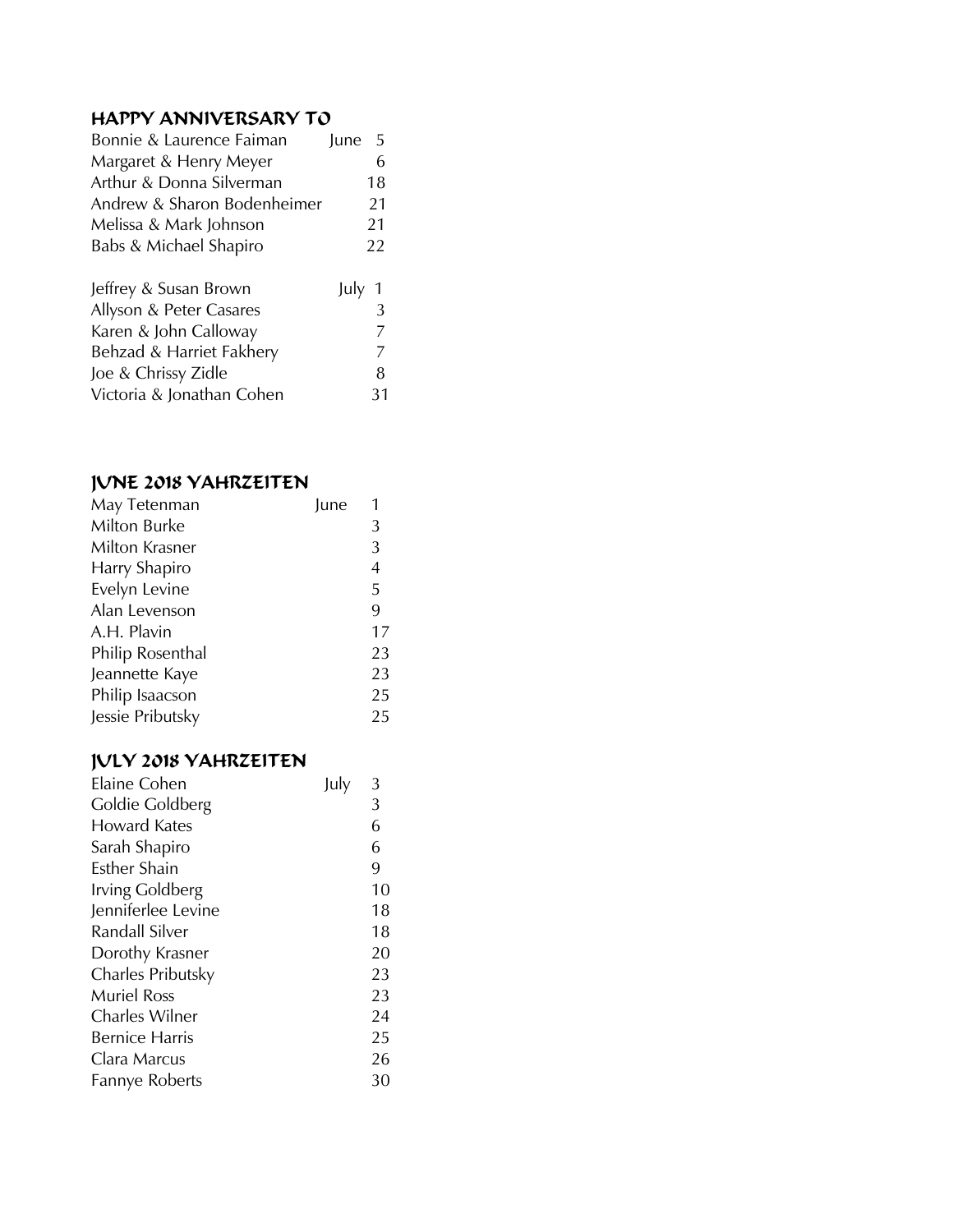#### HAPPY ANNIVERSARY TO

| Bonnie & Laurence Faiman    | June | -5 |
|-----------------------------|------|----|
| Margaret & Henry Meyer      |      | 6  |
| Arthur & Donna Silverman    |      | 18 |
| Andrew & Sharon Bodenheimer |      | 21 |
| Melissa & Mark Johnson      |      | 21 |
| Babs & Michael Shapiro      |      | 22 |
|                             |      |    |
| Jeffrey & Susan Brown       | July |    |
| Allyson & Peter Casares     |      | 3  |
| Karen & John Calloway       |      | 7  |
| Behzad & Harriet Fakhery    |      | 7  |
| Joe & Chrissy Zidle         |      | 8  |
| Victoria & Jonathan Cohen   |      | 31 |

#### JUNE 2018 YAHRZEITEN

| May Tetenman     | June |    |
|------------------|------|----|
| Milton Burke     |      | 3  |
| Milton Krasner   |      | 3  |
| Harry Shapiro    |      | 4  |
| Evelyn Levine    |      | 5  |
| Alan Levenson    |      | 9  |
| A.H. Plavin      |      | 17 |
| Philip Rosenthal |      | 23 |
| Jeannette Kaye   |      | 23 |
| Philip Isaacson  |      | 25 |
| Jessie Pributsky |      | 25 |

#### JULY 2018 YAHRZEITEN

| <b>Elaine Cohen</b>   | July | 3  |
|-----------------------|------|----|
| Goldie Goldberg       |      | 3  |
| Howard Kates          |      | 6  |
| Sarah Shapiro         |      | 6  |
| Esther Shain          |      | 9  |
| Irving Goldberg       |      | 10 |
| Jenniferlee Levine    |      | 18 |
| Randall Silver        |      | 18 |
| Dorothy Krasner       |      | 20 |
| Charles Pributsky     |      | 23 |
| <b>Muriel Ross</b>    |      | 23 |
| Charles Wilner        |      | 24 |
| <b>Bernice Harris</b> |      | 25 |
| Clara Marcus          |      | 26 |
| Fannye Roberts        |      | 30 |
|                       |      |    |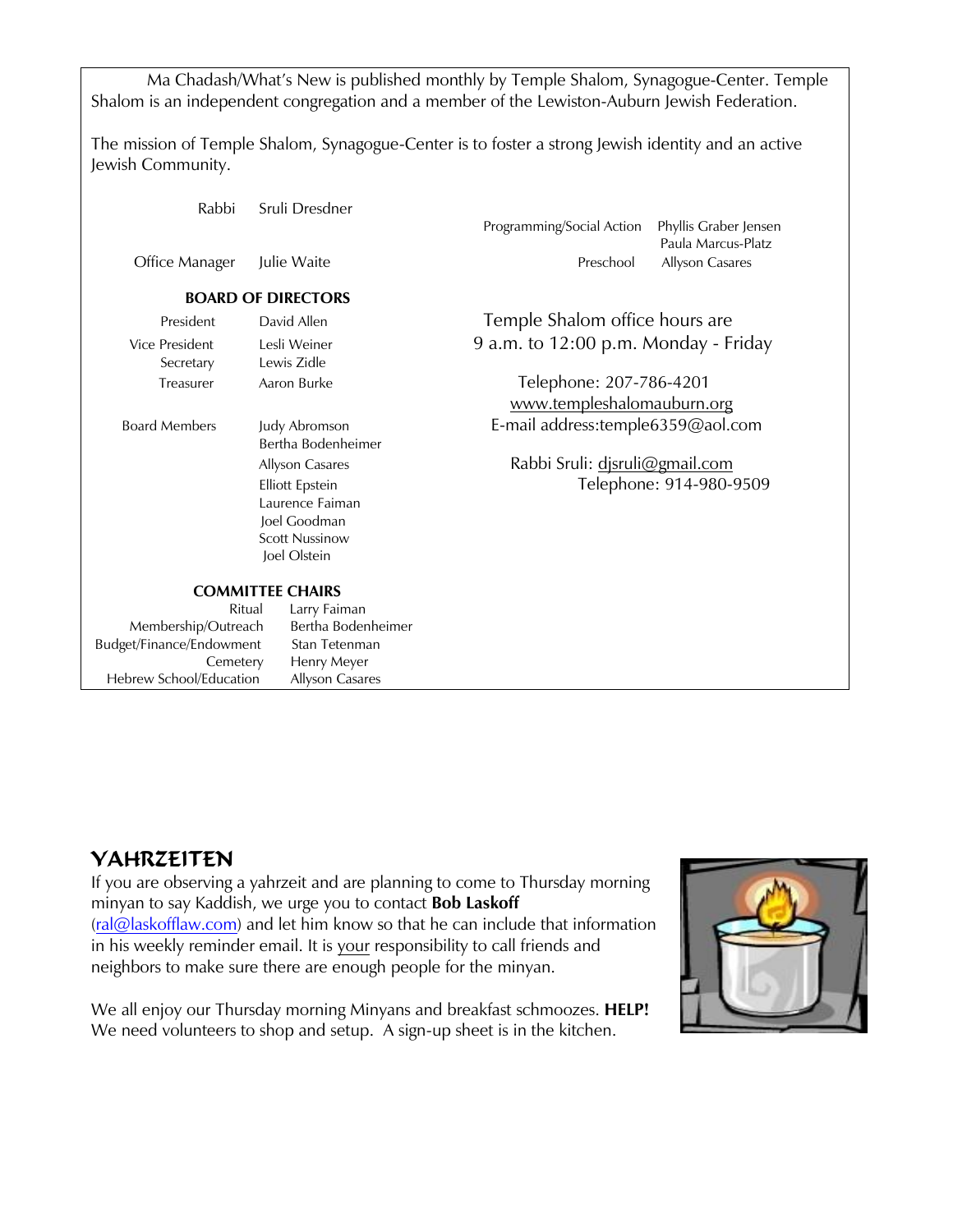Ma Chadash/What's New is published monthly by Temple Shalom, Synagogue-Center. Temple Shalom is an independent congregation and a member of the Lewiston-Auburn Jewish Federation.

The mission of Temple Shalom, Synagogue-Center is to foster a strong Jewish identity and an active Jewish Community.

| Rabbi                    | Sruli Dresdner            |                                      |                         |
|--------------------------|---------------------------|--------------------------------------|-------------------------|
|                          |                           | Programming/Social Action            | Phyllis Graber Jensen   |
|                          |                           |                                      | Paula Marcus-Platz      |
| Office Manager           | Julie Waite               | Preschool                            | Allyson Casares         |
|                          | <b>BOARD OF DIRECTORS</b> |                                      |                         |
| President                | David Allen               | Temple Shalom office hours are       |                         |
| <b>Vice President</b>    | Lesli Weiner              | 9 a.m. to 12:00 p.m. Monday - Friday |                         |
| Secretary                | Lewis Zidle               |                                      |                         |
| Treasurer                | Aaron Burke               | Telephone: 207-786-4201              |                         |
|                          |                           | www.templeshalomauburn.org           |                         |
| <b>Board Members</b>     | Judy Abromson             | E-mail address:temple6359@aol.com    |                         |
|                          | Bertha Bodenheimer        |                                      |                         |
|                          | Allyson Casares           | Rabbi Sruli: djsruli@gmail.com       |                         |
|                          | <b>Elliott Epstein</b>    |                                      | Telephone: 914-980-9509 |
|                          | Laurence Faiman           |                                      |                         |
|                          | Joel Goodman              |                                      |                         |
|                          | <b>Scott Nussinow</b>     |                                      |                         |
|                          | Joel Olstein              |                                      |                         |
|                          | <b>COMMITTEE CHAIRS</b>   |                                      |                         |
| Ritual                   | Larry Faiman              |                                      |                         |
| Membership/Outreach      | Bertha Bodenheimer        |                                      |                         |
| Budget/Finance/Endowment | Stan Tetenman             |                                      |                         |
| Cemetery                 | Henry Meyer               |                                      |                         |
| Hebrew School/Education  | Allyson Casares           |                                      |                         |

#### YAHRZEITEN

If you are observing a yahrzeit and are planning to come to Thursday morning minyan to say Kaddish, we urge you to contact **Bob Laskoff** [\(ral@laskofflaw.com\)](mailto:ral@laskofflaw.com) and let him know so that he can include that information in his weekly reminder email. It is your responsibility to call friends and neighbors to make sure there are enough people for the minyan.

We all enjoy our Thursday morning Minyans and breakfast schmoozes. **HELP!** We need volunteers to shop and setup. A sign-up sheet is in the kitchen.

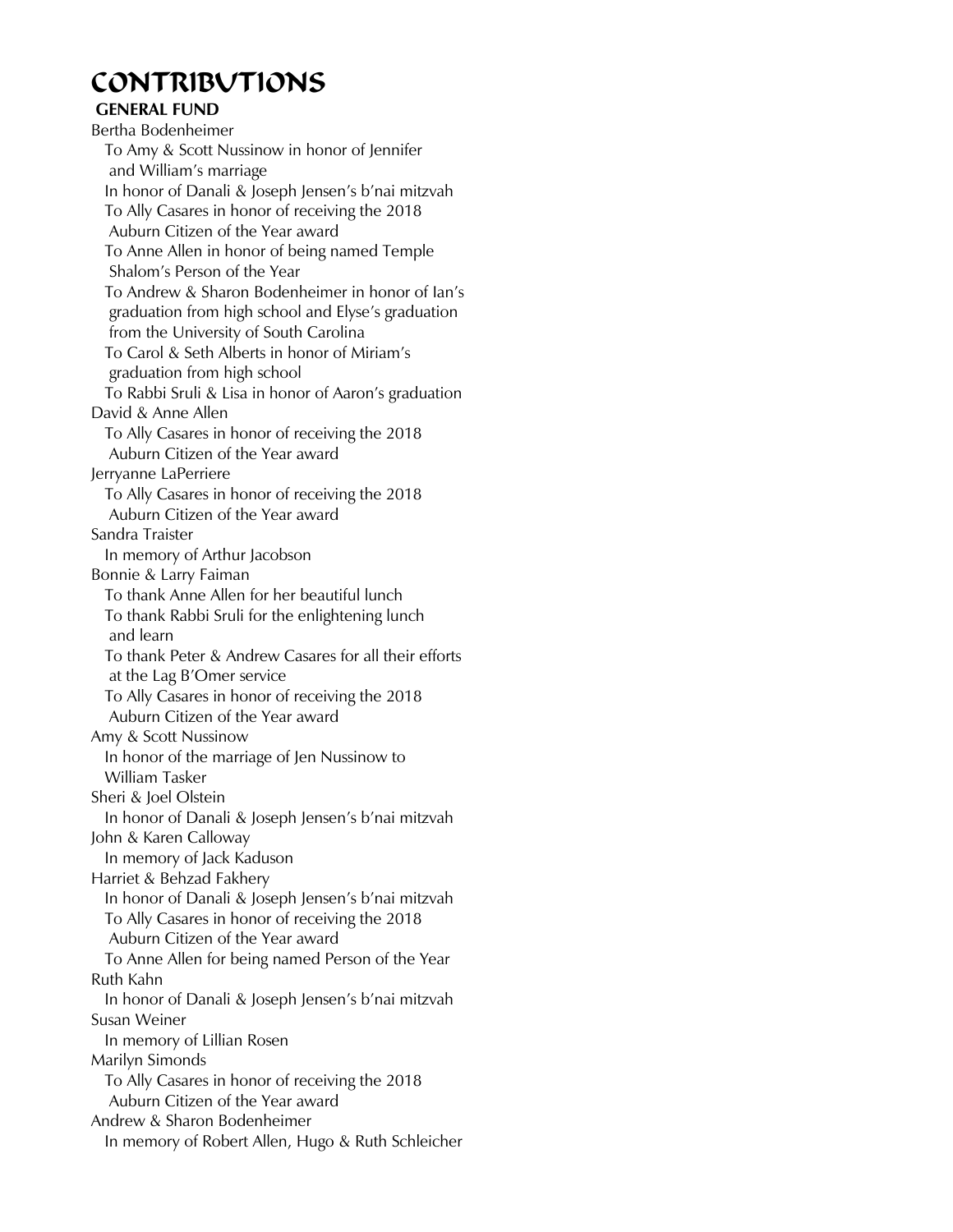## CONTRIBUTIONS

#### **GENERAL FUND**

Bertha Bodenheimer To Amy & Scott Nussinow in honor of Jennifer and William's marriage In honor of Danali & Joseph Jensen's b'nai mitzvah To Ally Casares in honor of receiving the 2018 Auburn Citizen of the Year award To Anne Allen in honor of being named Temple Shalom's Person of the Year To Andrew & Sharon Bodenheimer in honor of Ian's graduation from high school and Elyse's graduation from the University of South Carolina To Carol & Seth Alberts in honor of Miriam's graduation from high school To Rabbi Sruli & Lisa in honor of Aaron's graduation David & Anne Allen To Ally Casares in honor of receiving the 2018 Auburn Citizen of the Year award Jerryanne LaPerriere To Ally Casares in honor of receiving the 2018 Auburn Citizen of the Year award Sandra Traister In memory of Arthur Jacobson Bonnie & Larry Faiman To thank Anne Allen for her beautiful lunch To thank Rabbi Sruli for the enlightening lunch and learn To thank Peter & Andrew Casares for all their efforts at the Lag B'Omer service To Ally Casares in honor of receiving the 2018 Auburn Citizen of the Year award Amy & Scott Nussinow In honor of the marriage of Jen Nussinow to William Tasker Sheri & Joel Olstein In honor of Danali & Joseph Jensen's b'nai mitzvah John & Karen Calloway In memory of Jack Kaduson Harriet & Behzad Fakhery In honor of Danali & Joseph Jensen's b'nai mitzvah To Ally Casares in honor of receiving the 2018 Auburn Citizen of the Year award To Anne Allen for being named Person of the Year Ruth Kahn In honor of Danali & Joseph Jensen's b'nai mitzvah Susan Weiner In memory of Lillian Rosen Marilyn Simonds To Ally Casares in honor of receiving the 2018 Auburn Citizen of the Year award Andrew & Sharon Bodenheimer In memory of Robert Allen, Hugo & Ruth Schleicher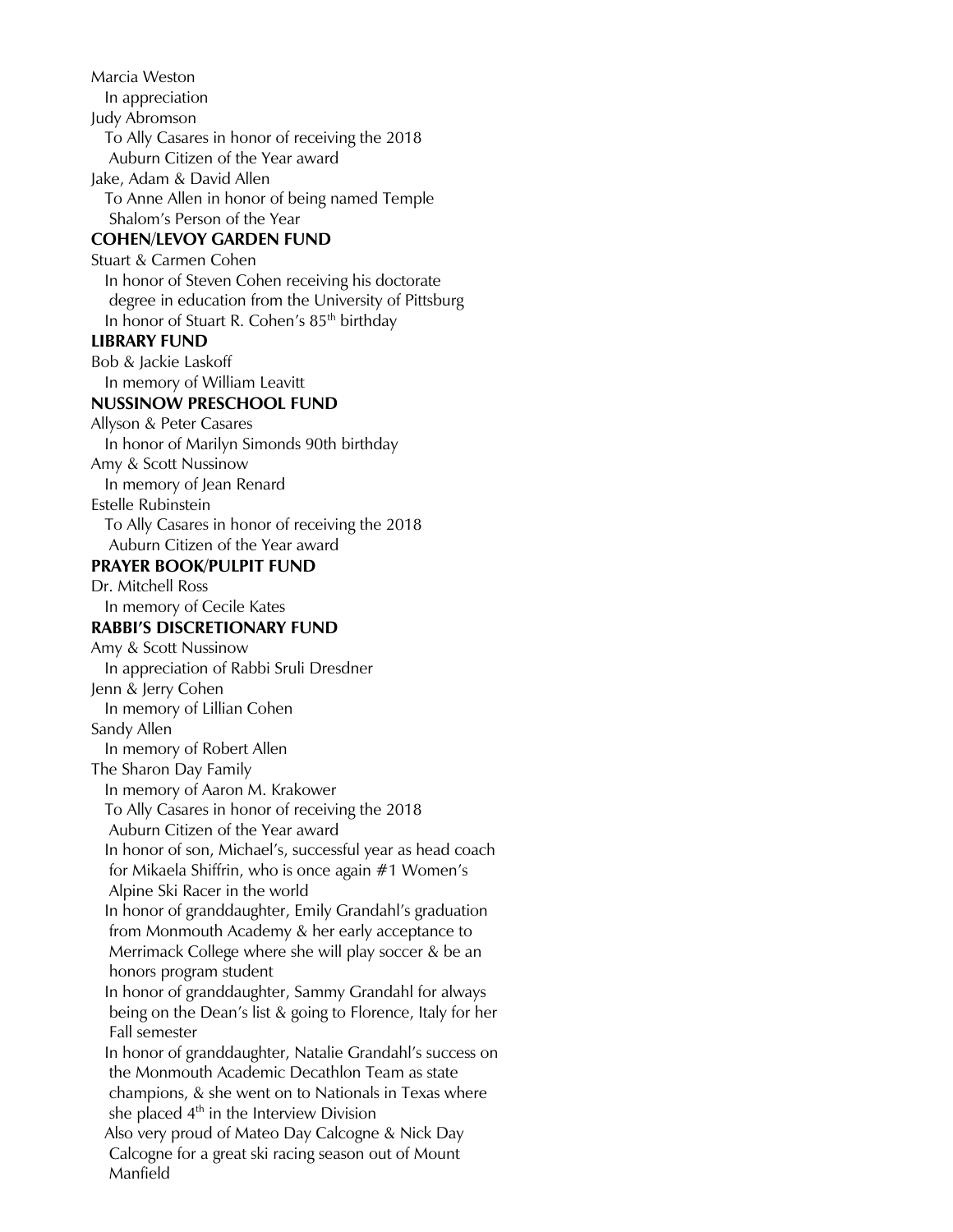Marcia Weston In appreciation Judy Abromson To Ally Casares in honor of receiving the 2018 Auburn Citizen of the Year award Jake, Adam & David Allen To Anne Allen in honor of being named Temple Shalom's Person of the Year **COHEN/LEVOY GARDEN FUND** Stuart & Carmen Cohen In honor of Steven Cohen receiving his doctorate degree in education from the University of Pittsburg In honor of Stuart R. Cohen's  $85<sup>th</sup>$  birthday **LIBRARY FUND** Bob & Jackie Laskoff In memory of William Leavitt **NUSSINOW PRESCHOOL FUND** Allyson & Peter Casares In honor of Marilyn Simonds 90th birthday Amy & Scott Nussinow In memory of Jean Renard Estelle Rubinstein To Ally Casares in honor of receiving the 2018 Auburn Citizen of the Year award **PRAYER BOOK/PULPIT FUND** Dr. Mitchell Ross In memory of Cecile Kates **RABBI'S DISCRETIONARY FUND**  Amy & Scott Nussinow In appreciation of Rabbi Sruli Dresdner Jenn & Jerry Cohen In memory of Lillian Cohen Sandy Allen In memory of Robert Allen The Sharon Day Family In memory of Aaron M. Krakower To Ally Casares in honor of receiving the 2018 Auburn Citizen of the Year award In honor of son, Michael's, successful year as head coach for Mikaela Shiffrin, who is once again #1 Women's Alpine Ski Racer in the world In honor of granddaughter, Emily Grandahl's graduation from Monmouth Academy & her early acceptance to Merrimack College where she will play soccer & be an honors program student In honor of granddaughter, Sammy Grandahl for always being on the Dean's list & going to Florence, Italy for her Fall semester In honor of granddaughter, Natalie Grandahl's success on the Monmouth Academic Decathlon Team as state champions, & she went on to Nationals in Texas where she placed  $4<sup>th</sup>$  in the Interview Division Also very proud of Mateo Day Calcogne & Nick Day Calcogne for a great ski racing season out of Mount Manfield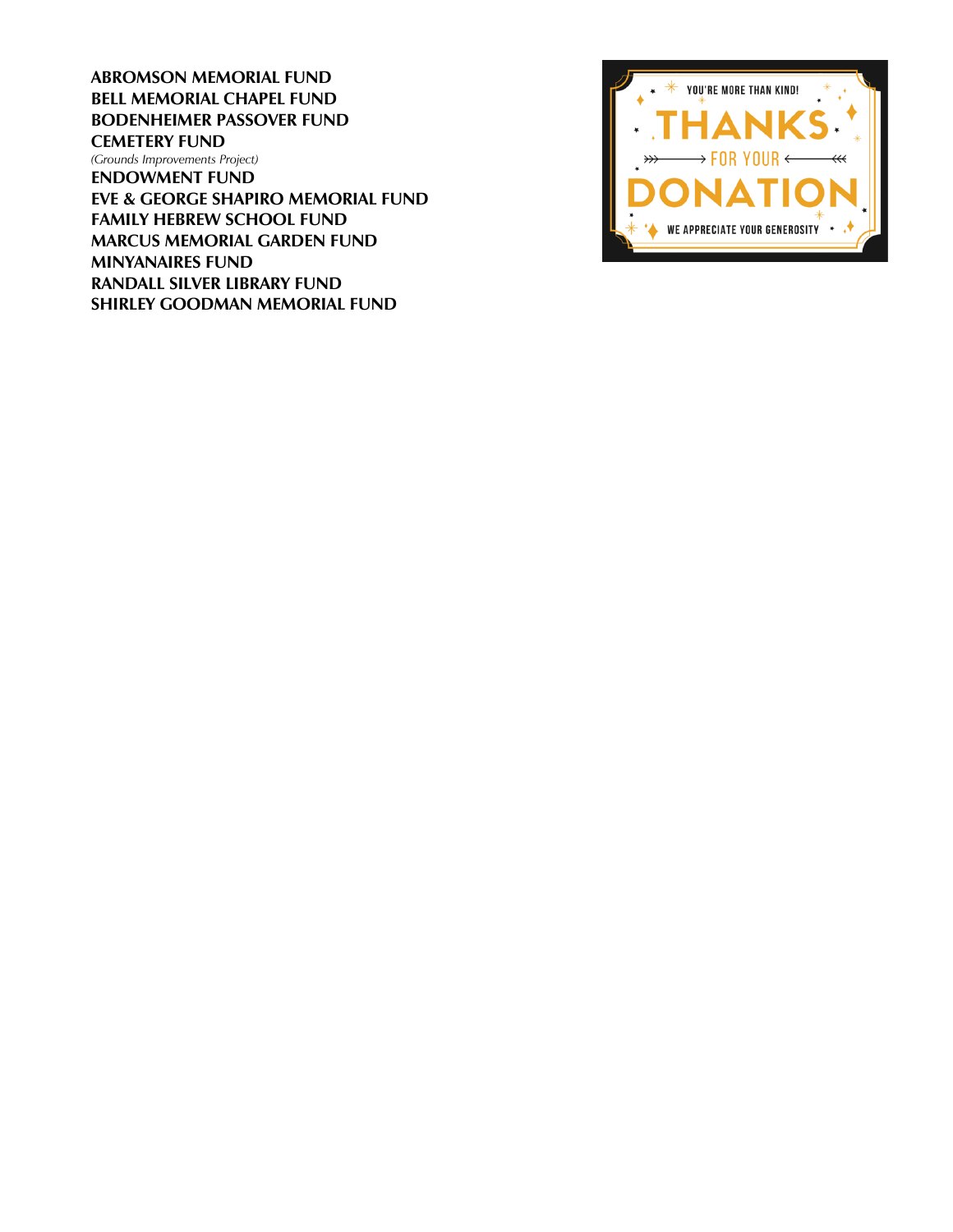**ABROMSON MEMORIAL FUND BELL MEMORIAL CHAPEL FUND BODENHEIMER PASSOVER FUND CEMETERY FUND** *(Grounds Improvements Project)* **ENDOWMENT FUND EVE & GEORGE SHAPIRO MEMORIAL FUND FAMILY HEBREW SCHOOL FUND MARCUS MEMORIAL GARDEN FUND MINYANAIRES FUND RANDALL SILVER LIBRARY FUND SHIRLEY GOODMAN MEMORIAL FUND**